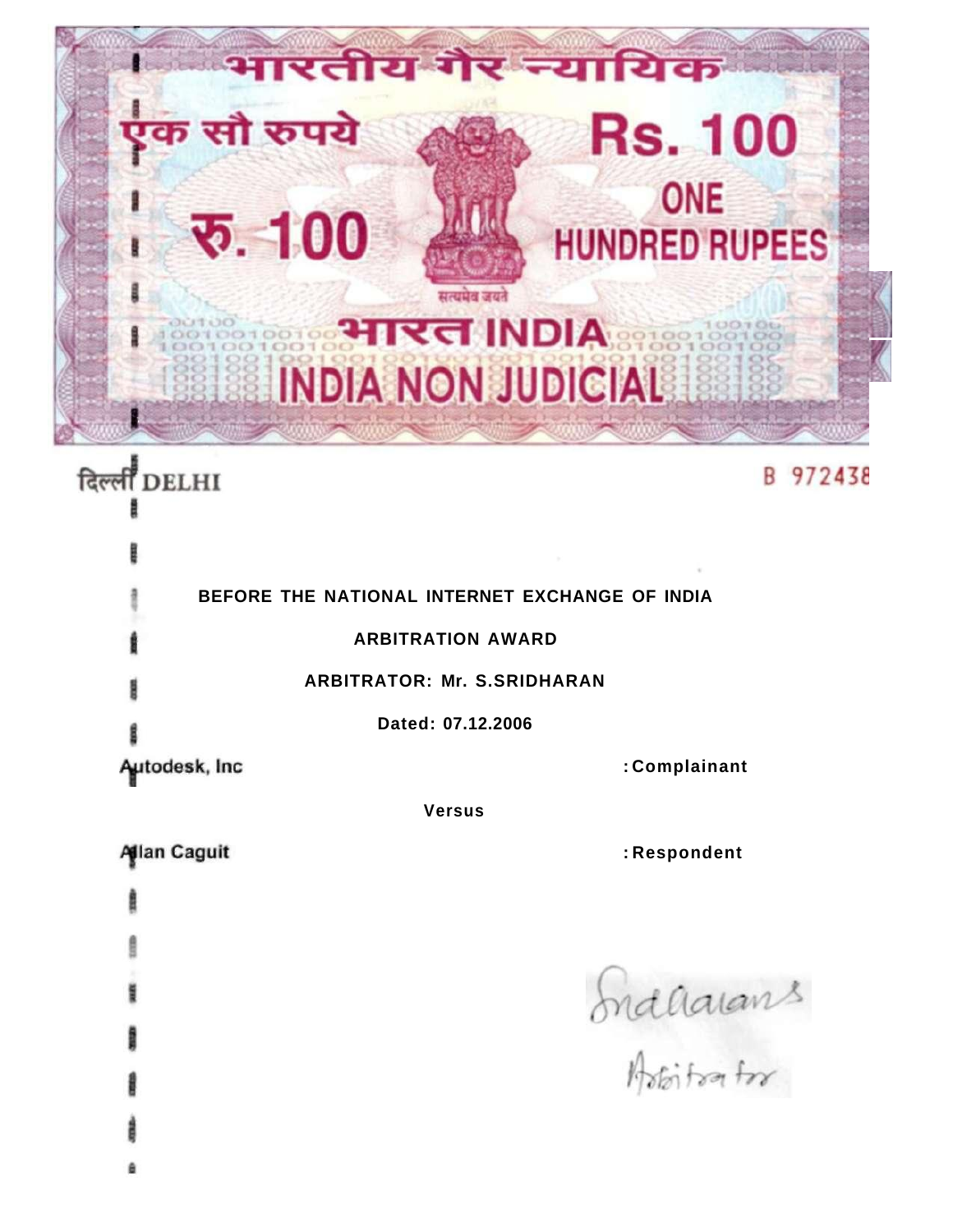

# दिल्ली DELHI

# B 972438

|                | BEFORE THE NATIONAL INTERNET EXCHANGE OF INDIA |
|----------------|------------------------------------------------|
|                | <b>ARBITRATION AWARD</b>                       |
|                | <b>ARBITRATOR: Mr. S.SRIDHARAN</b>             |
|                | Dated: 07.12.2006                              |
| Autodesk, Inc. | : Complainant                                  |
| <b>Versus</b>  |                                                |

## **Allan Caguit**

**: Respondent** 

Induarians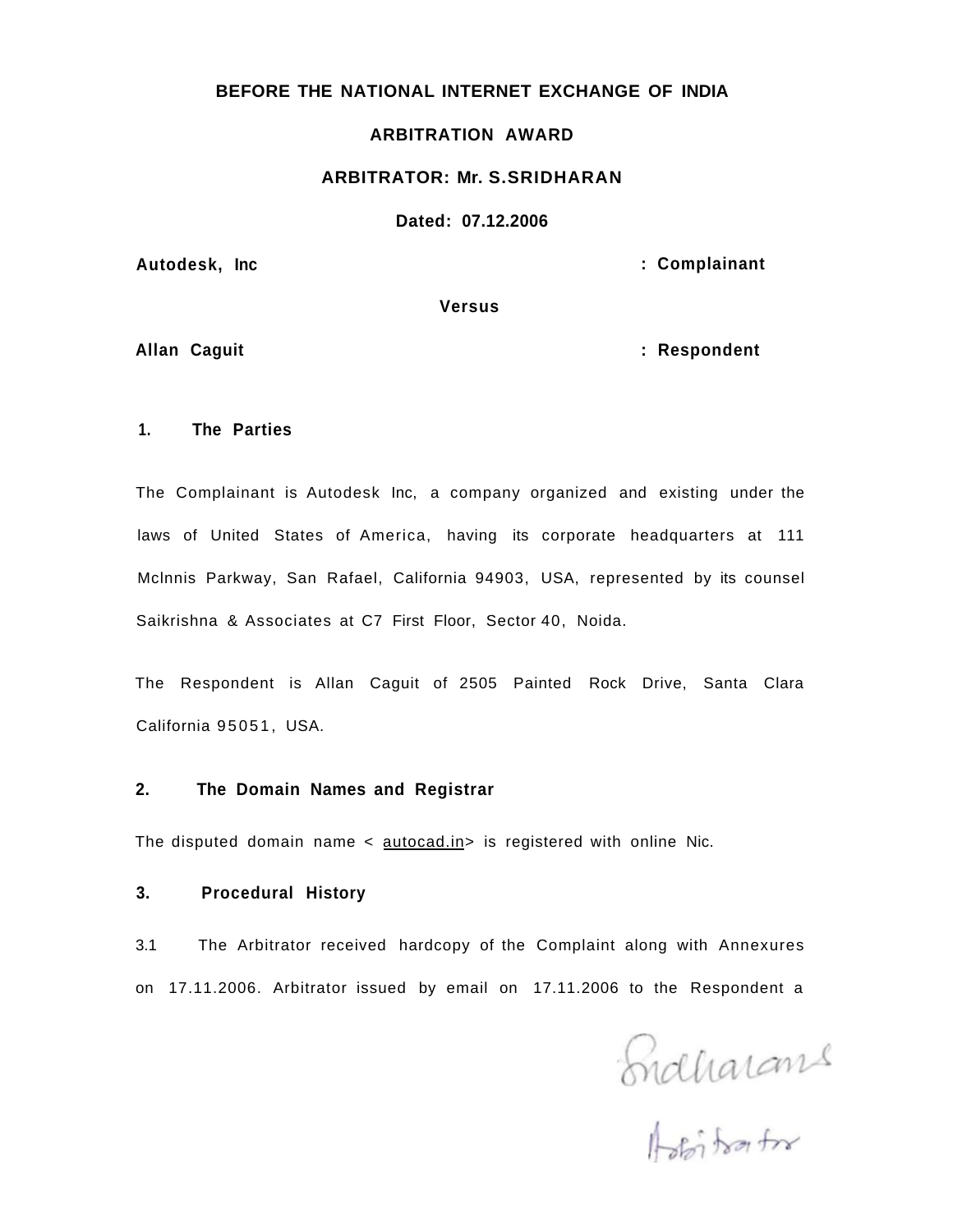#### **BEFORE THE NATIONAL INTERNET EXCHANGE OF INDIA**

#### **ARBITRATION AWARD**

#### **ARBITRATOR: Mr. S.SRIDHARAN**

#### **Dated: 07.12.2006**

Autodesk, Inc **and Autodesk**, Inc. **Autodesk**, Inc. **Complainant** *Complainant* 

**Versus** 

Allan Caguit **and Caguit 1999** and 2008 and 2008 and 2008 and 2008 and 2008 and 2008 and 2008 and 2008 and 2008 and 2008 and 2008 and 2008 and 2008 and 2008 and 2008 and 2008 and 2008 and 2008 and 2008 and 2008 and 2008 an

#### **1. The Parties**

The Complainant is Autodesk Inc, a company organized and existing under the laws of United States of America, having its corporate headquarters at 111 Mclnnis Parkway, San Rafael, California 94903, USA, represented by its counsel Saikrishna & Associates at C7 First Floor, Sector 40, Noida.

The Respondent is Allan Caguit of 2505 Painted Rock Drive, Santa Clara California 95051, USA.

#### **2. The Domain Names and Registrar**

The disputed domain name  $\langle$  autocad.in > is registered with online Nic.

### **3. Procedural History**

3.1 The Arbitrator received hardcopy of the Complaint along with Annexures on 17.11.2006. Arbitrator issued by email on 17.11.2006 to the Respondent a

Endharans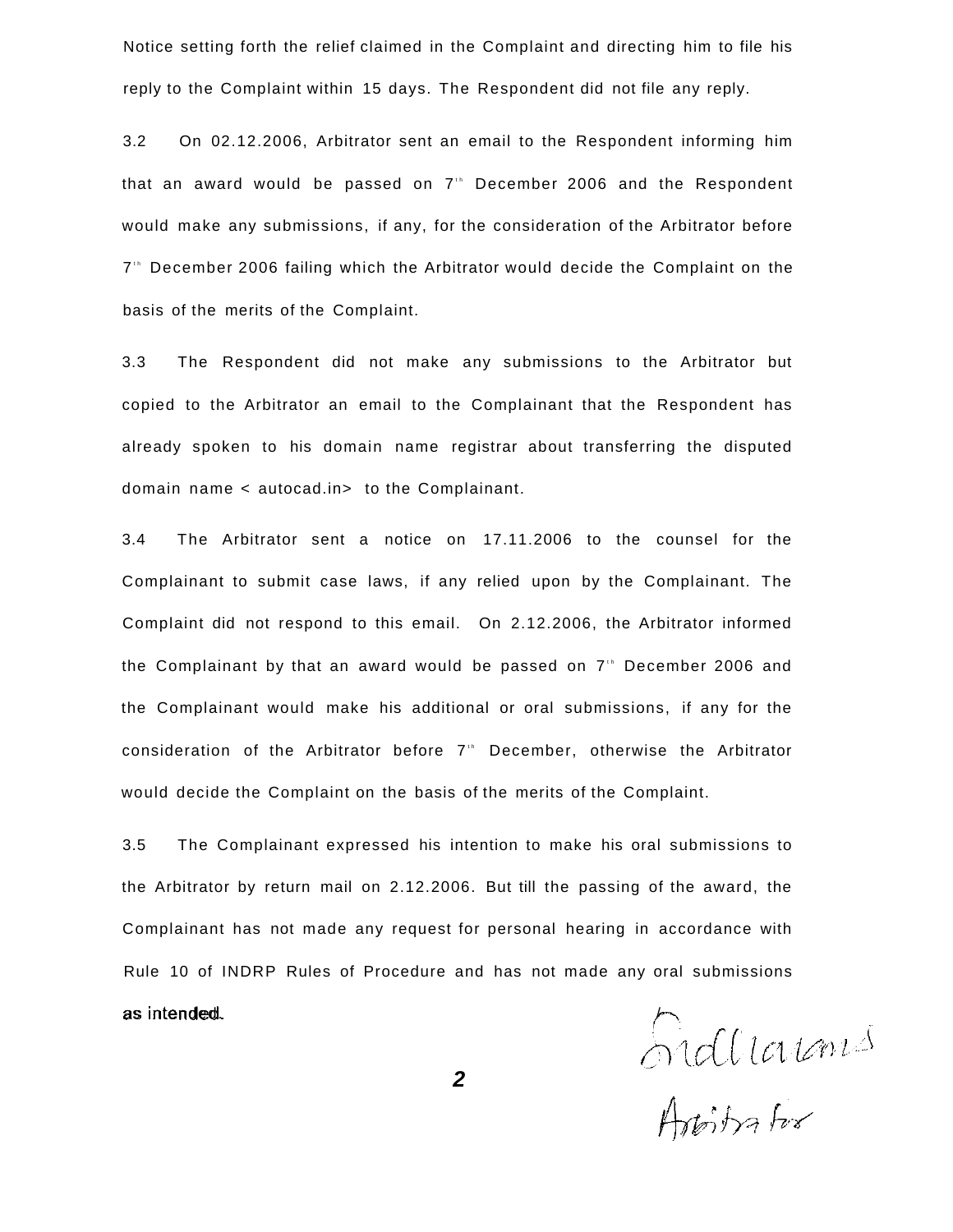Notice setting forth the relief claimed in the Complaint and directing him to file his reply to the Complaint within 15 days. The Respondent did not file any reply.

3.2 On 02.12.2006, Arbitrator sent an email to the Respondent informing him that an award would be passed on 7<sup>th</sup> December 2006 and the Respondent would make any submissions, if any, for the consideration of the Arbitrator before 7<sup>th</sup> December 2006 failing which the Arbitrator would decide the Complaint on the basis of the merits of the Complaint.

3.3 The Respondent did not make any submissions to the Arbitrator but copied to the Arbitrator an email to the Complainant that the Respondent has already spoken to his domain name registrar about transferring the disputed domain name < autocad.in> to the Complainant.

3.4 The Arbitrator sent a notice on 17.11.2006 to the counsel for the Complainant to submit case laws, if any relied upon by the Complainant. The Complaint did not respond to this email. On 2.12.2006, the Arbitrator informed the Complainant by that an award would be passed on  $7"$  December 2006 and the Complainant would make his additional or oral submissions, if any for the consideration of the Arbitrator before 7<sup>th</sup> December, otherwise the Arbitrator would decide the Complaint on the basis of the merits of the Complaint.

3.5 The Complainant expressed his intention to make his oral submissions to the Arbitrator by return mail on 2.12.2006. But till the passing of the award, the Complainant has not made any request for personal hearing in accordance with Rule 10 of INDRP Rules of Procedure and has not made any oral submissions

as intended.<br>2<br>Addition for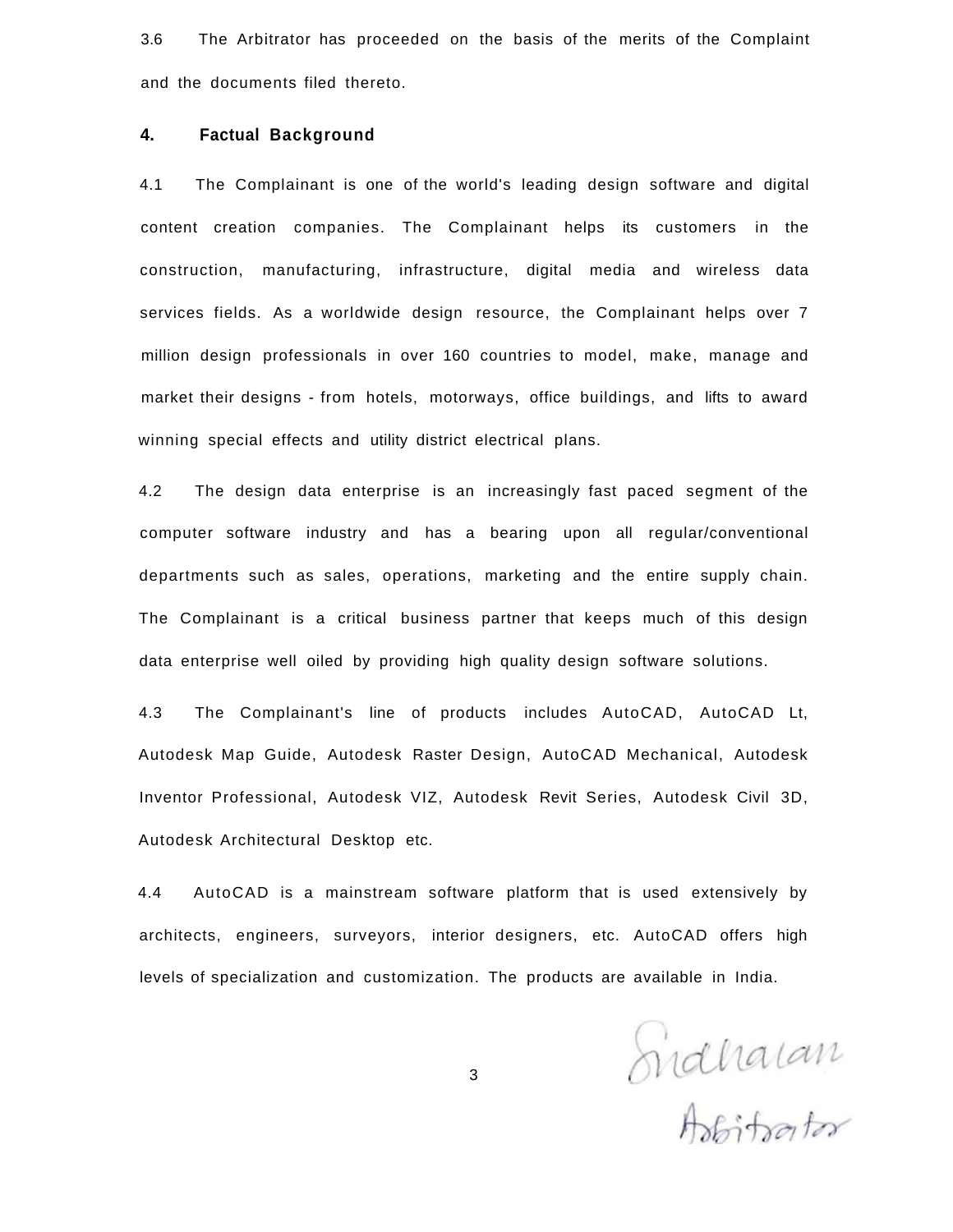3.6 The Arbitrator has proceeded on the basis of the merits of the Complaint and the documents filed thereto.

#### **4. Factual Background**

4.1 The Complainant is one of the world's leading design software and digital content creation companies. The Complainant helps its customers in the construction, manufacturing, infrastructure, digital media and wireless data services fields. As a worldwide design resource, the Complainant helps over 7 million design professionals in over 160 countries to model, make, manage and market their designs - from hotels, motorways, office buildings, and lifts to award winning special effects and utility district electrical plans.

4.2 The design data enterprise is an increasingly fast paced segment of the computer software industry and has a bearing upon all regular/conventional departments such as sales, operations, marketing and the entire supply chain. The Complainant is a critical business partner that keeps much of this design data enterprise well oiled by providing high quality design software solutions.

4.3 The Complainant's line of products includes AutoCAD, AutoCAD Lt, Autodesk Map Guide, Autodesk Raster Design, AutoCAD Mechanical, Autodesk Inventor Professional, Autodesk VIZ, Autodesk Revit Series, Autodesk Civil 3D, Autodesk Architectural Desktop etc.

4.4 AutoCAD is a mainstream software platform that is used extensively by architects, engineers, surveyors, interior designers, etc. AutoCAD offers high levels of specialization and customization. The products are available in India.

Sidharan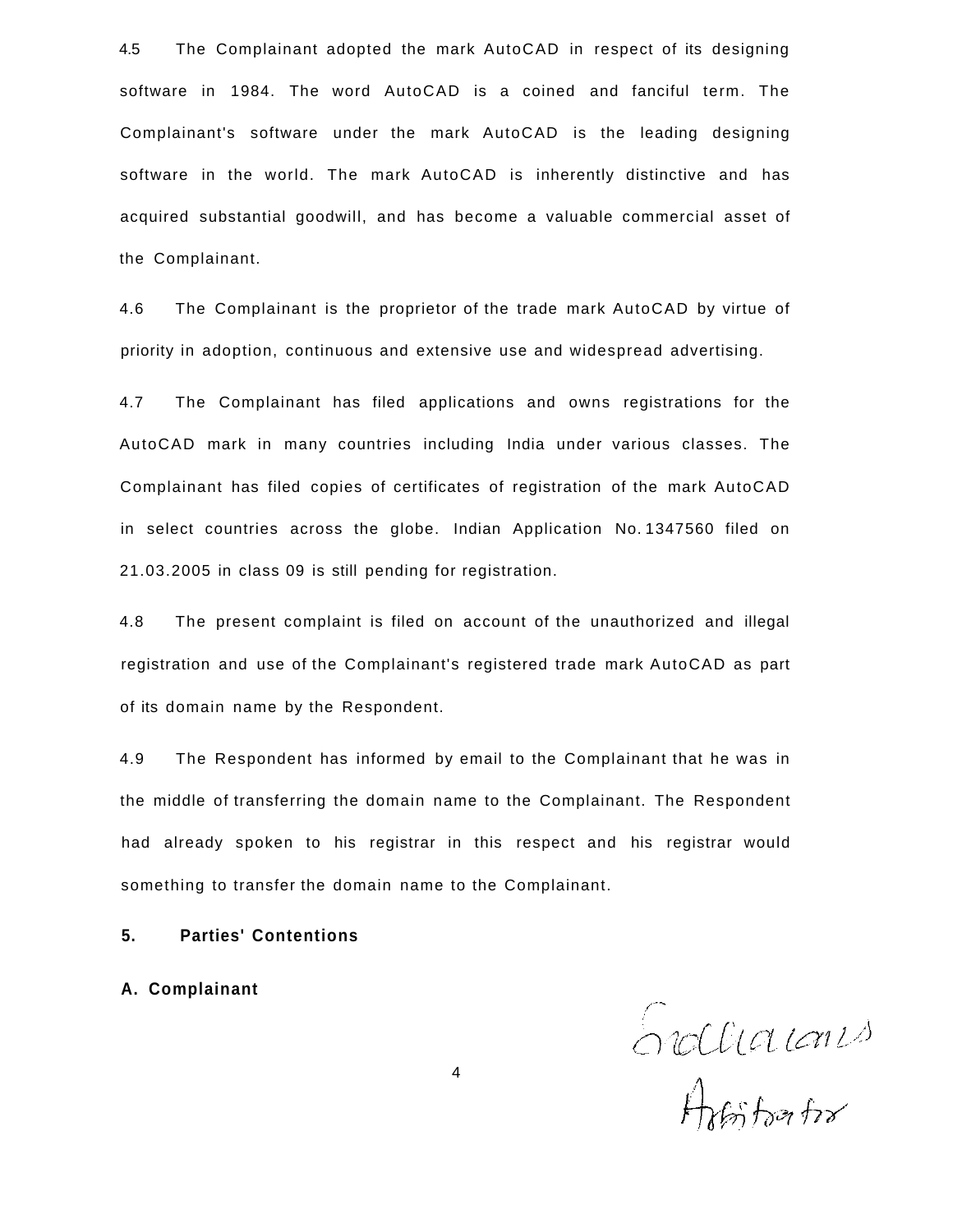4.5 The Complainant adopted the mark AutoCAD in respect of its designing software in 1984. The word AutoCAD is a coined and fanciful term. The Complainant's software under the mark AutoCAD is the leading designing software in the world. The mark AutoCAD is inherently distinctive and has acquired substantial goodwill, and has become a valuable commercial asset of the Complainant.

4.6 The Complainant is the proprietor of the trade mark AutoCAD by virtue of priority in adoption, continuous and extensive use and widespread advertising.

4.7 The Complainant has filed applications and owns registrations for the AutoCAD mark in many countries including India under various classes. The Complainant has filed copies of certificates of registration of the mark AutoCAD in select countries across the globe. Indian Application No. 1347560 filed on 21.03.2005 in class 09 is still pending for registration.

4.8 The present complaint is filed on account of the unauthorized and illegal registration and use of the Complainant's registered trade mark AutoCAD as part of its domain name by the Respondent.

4.9 The Respondent has informed by email to the Complainant that he was in the middle of transferring the domain name to the Complainant. The Respondent had already spoken to his registrar in this respect and his registrar would something to transfer the domain name to the Complainant.

### **5. Parties' Contentions**

**A. Complainant** 

Endlinianis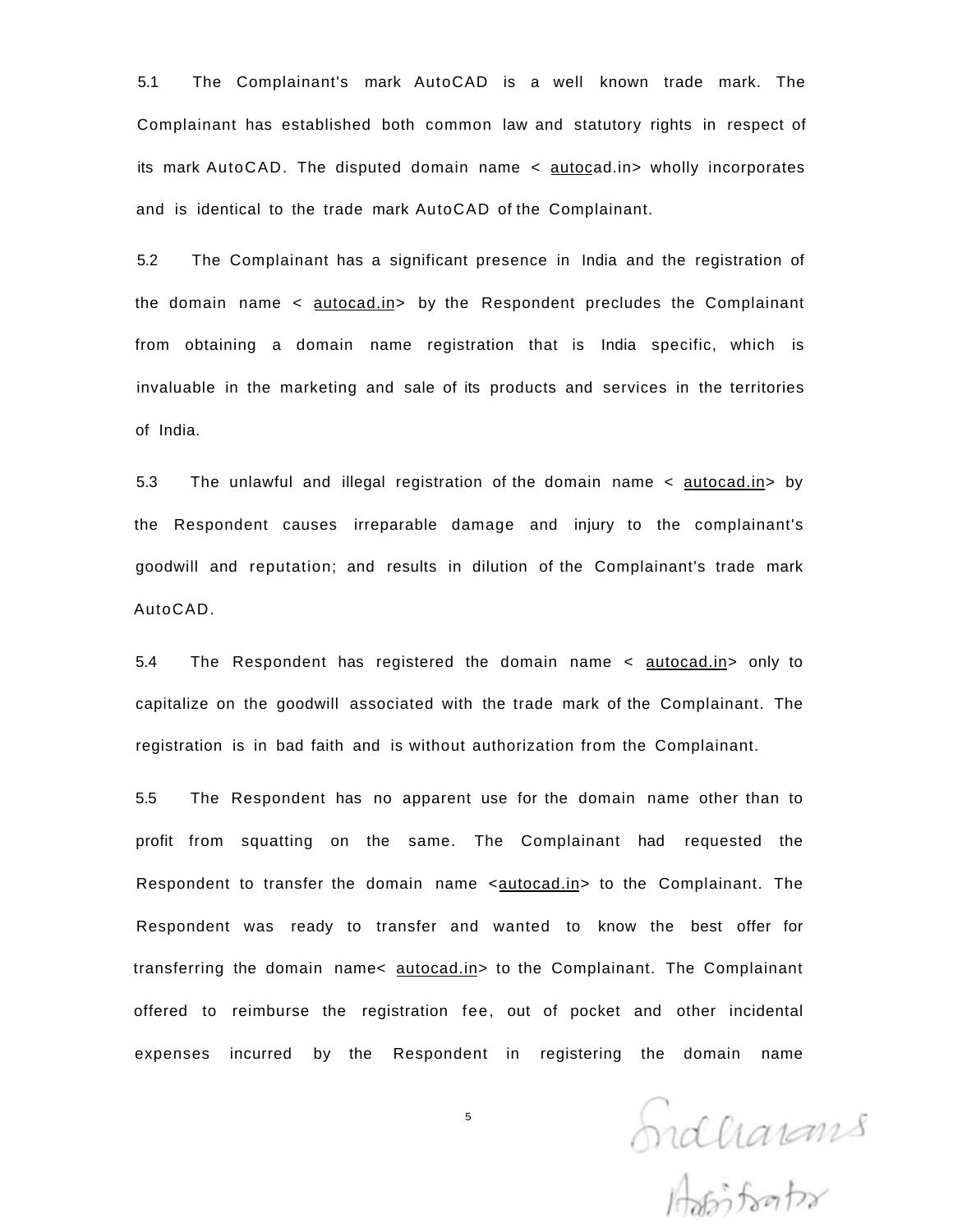5.1 The Complainant's mark AutoCAD is a well known trade mark. The Complainant has established both common law and statutory rights in respect of its mark AutoCAD. The disputed domain name < autocad.in> wholly incorporates and is identical to the trade mark AutoCAD of the Complainant.

5.2 The Complainant has a significant presence in India and the registration of the domain name < autocad.in> by the Respondent precludes the Complainant from obtaining a domain name registration that is India specific, which is invaluable in the marketing and sale of its products and services in the territories of India.

5.3 The unlawful and illegal registration of the domain name < autocad.in> by the Respondent causes irreparable damage and injury to the complainant's goodwill and reputation; and results in dilution of the Complainant's trade mark AutoCAD.

5.4 The Respondent has registered the domain name < autocad.in> only to capitalize on the goodwill associated with the trade mark of the Complainant. The registration is in bad faith and is without authorization from the Complainant.

5.5 The Respondent has no apparent use for the domain name other than to profit from squatting on the same. The Complainant had requested the Respondent to transfer the domain name <autocad.in> to the Complainant. The Respondent was ready to transfer and wanted to know the best offer for transferring the domain name< autocad.in> to the Complainant. The Complainant offered to reimburse the registration fee, out of pocket and other incidental expenses incurred by the Respondent in registering the domain name

Endharans

5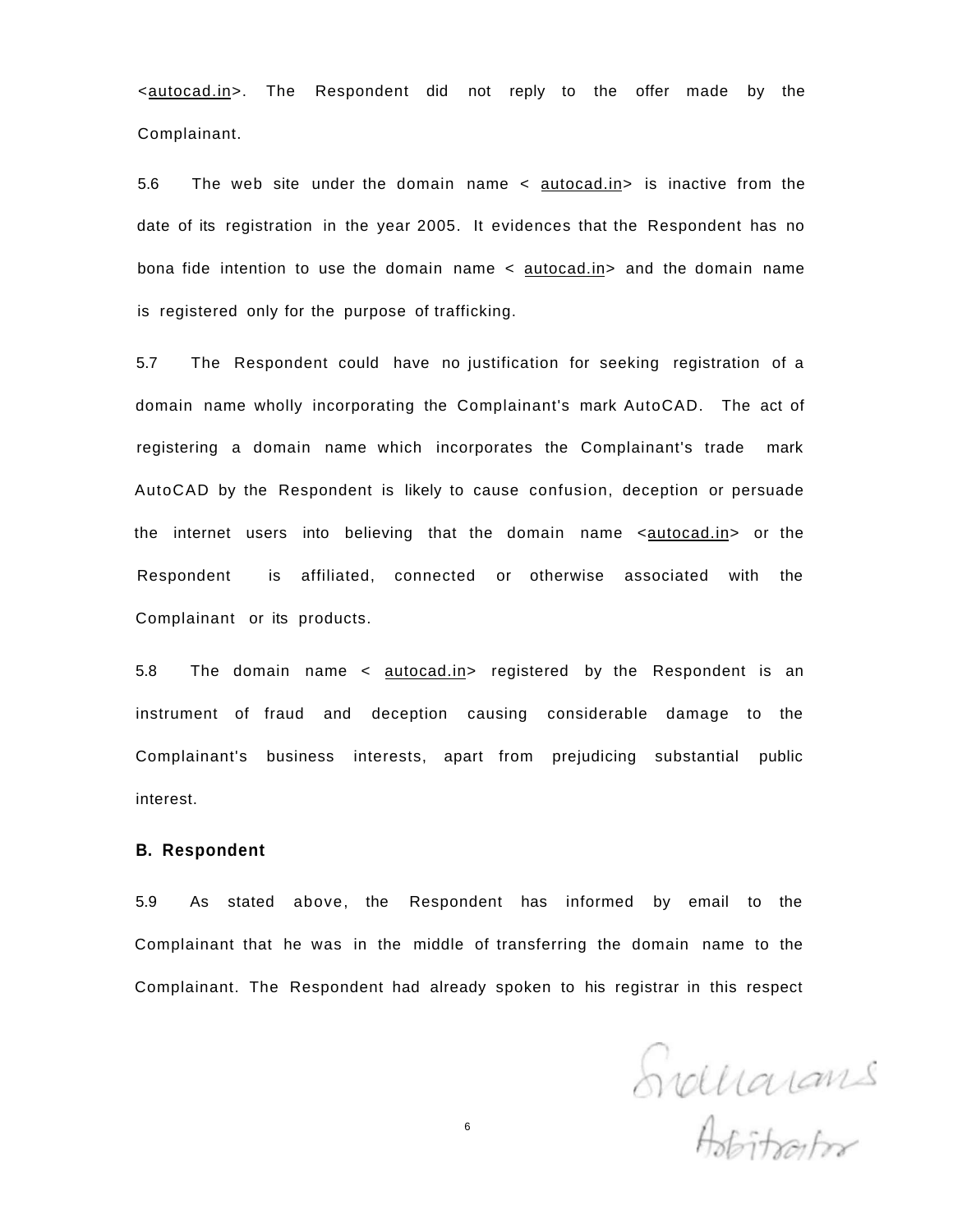<autocad.in>. The Respondent did not reply to the offer made by the Complainant.

5.6 The web site under the domain name < autocad.in> is inactive from the date of its registration in the year 2005. It evidences that the Respondent has no bona fide intention to use the domain name < autocad.in> and the domain name is registered only for the purpose of trafficking.

5.7 The Respondent could have no justification for seeking registration of a domain name wholly incorporating the Complainant's mark AutoCAD. The act of registering a domain name which incorporates the Complainant's trade mark AutoCAD by the Respondent is likely to cause confusion, deception or persuade the internet users into believing that the domain name <autocad.in> or the Respondent is affiliated, connected or otherwise associated with the Complainant or its products.

5.8 The domain name < autocad.in> registered by the Respondent is an instrument of fraud and deception causing considerable damage to the Complainant's business interests, apart from prejudicing substantial public interest.

#### **B. Respondent**

5.9 As stated above, the Respondent has informed by email to the Complainant that he was in the middle of transferring the domain name to the Complainant. The Respondent had already spoken to his registrar in this respect

Svollarans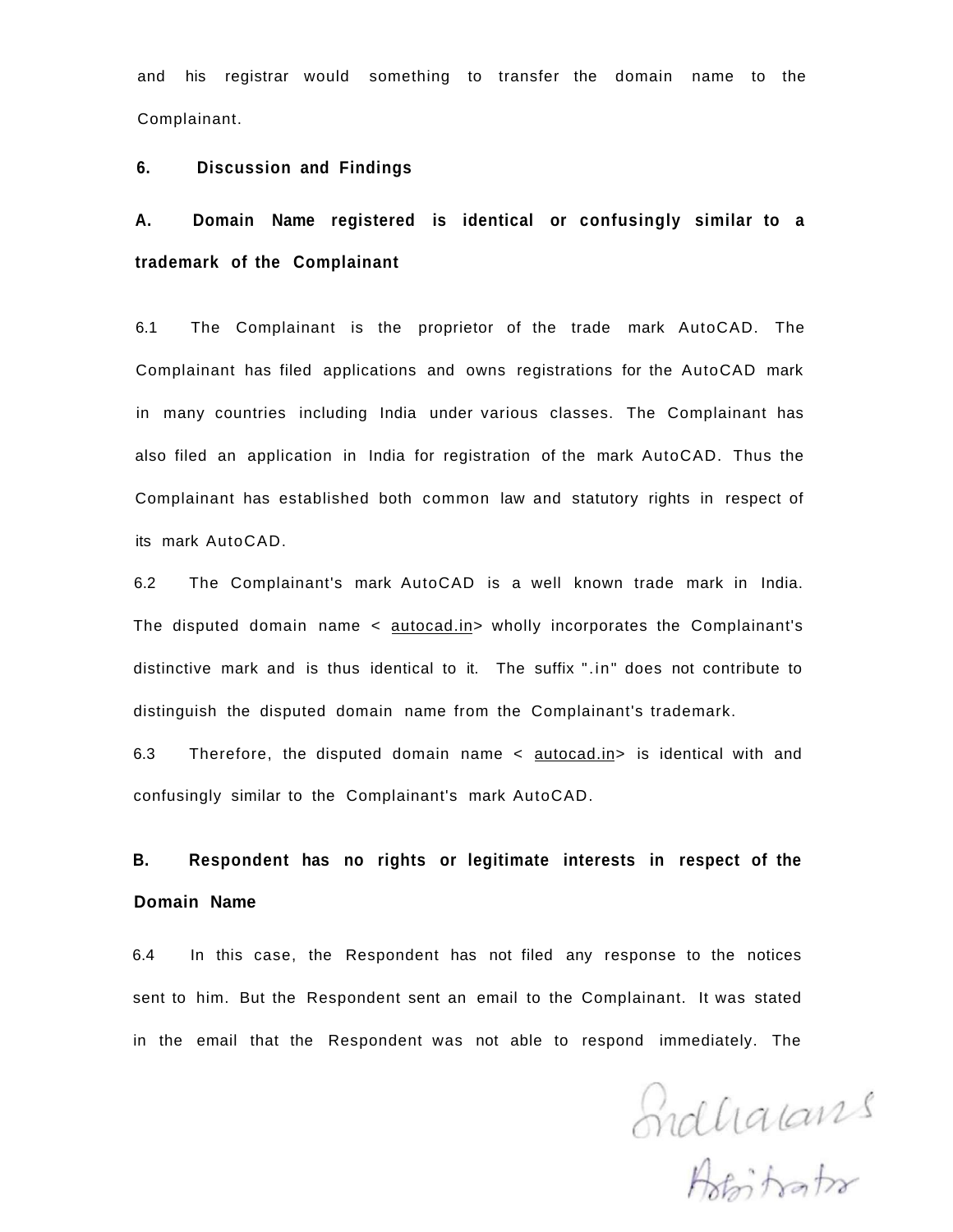and his registrar would something to transfer the domain name to the Complainant.

#### **6. Discussion and Findings**

# **A. Domain Name registered is identical or confusingly similar to a trademark of the Complainant**

6.1 The Complainant is the proprietor of the trade mark AutoCAD. The Complainant has filed applications and owns registrations for the AutoCAD mark in many countries including India under various classes. The Complainant has also filed an application in India for registration of the mark AutoCAD. Thus the Complainant has established both common law and statutory rights in respect of its mark AutoCAD.

6.2 The Complainant's mark AutoCAD is a well known trade mark in India. The disputed domain name < autocad.in> wholly incorporates the Complainant's distinctive mark and is thus identical to it. The suffix ".in" does not contribute to distinguish the disputed domain name from the Complainant's trademark.

6.3 Therefore, the disputed domain name < autocad.in> is identical with and confusingly similar to the Complainant's mark AutoCAD.

**B. Respondent has no rights or legitimate interests in respect of the Domain Name** 

6.4 In this case, the Respondent has not filed any response to the notices sent to him. But the Respondent sent an email to the Complainant. It was stated in the email that the Respondent was not able to respond immediately. The

Indualants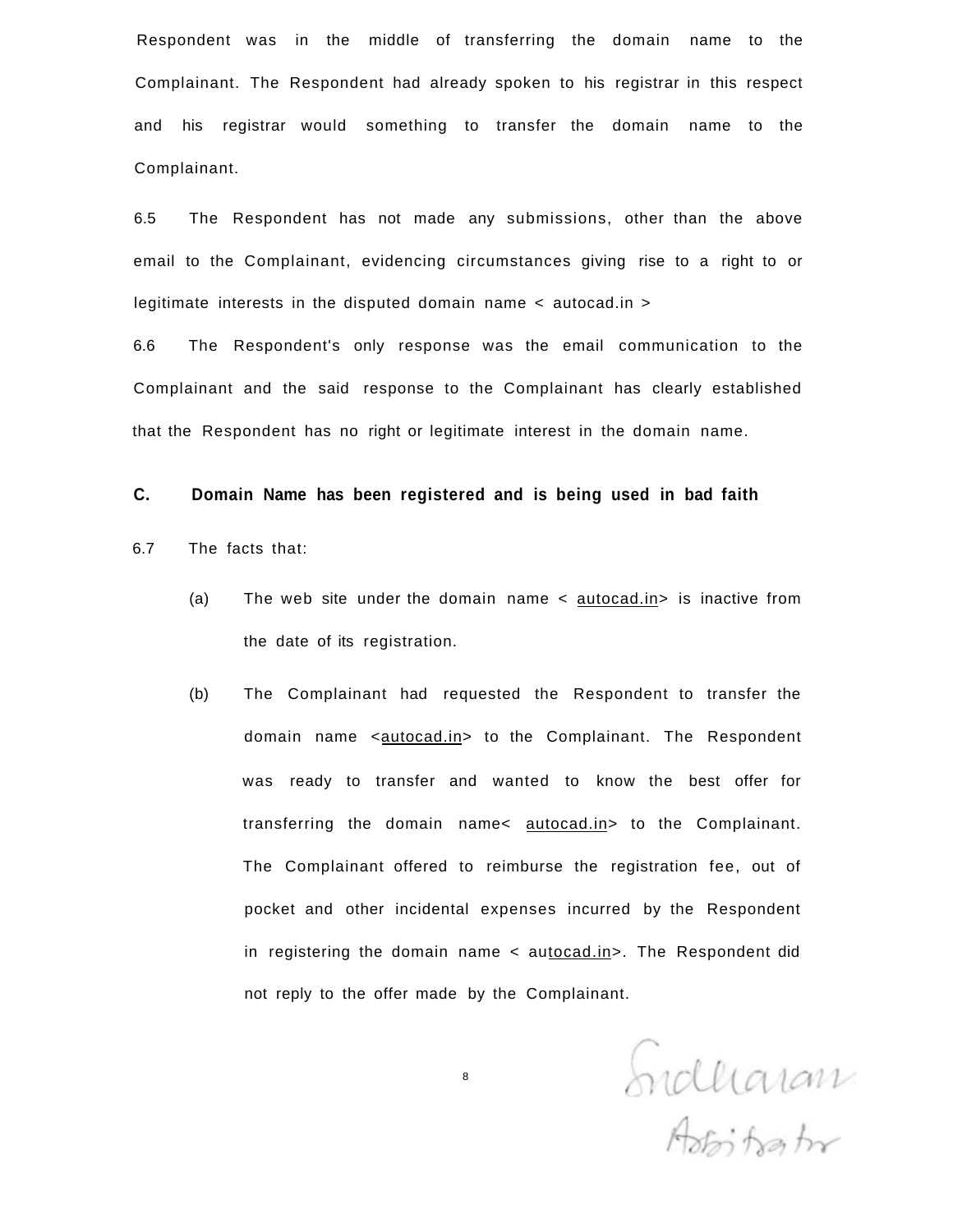Respondent was in the middle of transferring the domain name to the Complainant. The Respondent had already spoken to his registrar in this respect and his registrar would something to transfer the domain name to the Complainant.

6.5 The Respondent has not made any submissions, other than the above email to the Complainant, evidencing circumstances giving rise to a right to or legitimate interests in the disputed domain name < autocad.in >

6.6 The Respondent's only response was the email communication to the Complainant and the said response to the Complainant has clearly established that the Respondent has no right or legitimate interest in the domain name.

#### **C. Domain Name has been registered and is being used in bad faith**

- 6.7 The facts that:
	- (a) The web site under the domain name  $\lt$  autocad.in > is inactive from the date of its registration.
	- (b) The Complainant had requested the Respondent to transfer the domain name <autocad.in> to the Complainant. The Respondent was ready to transfer and wanted to know the best offer for transferring the domain name< autocad.in> to the Complainant. The Complainant offered to reimburse the registration fee, out of pocket and other incidental expenses incurred by the Respondent in registering the domain name < autocad.in>. The Respondent did not reply to the offer made by the Complainant.

Endliaram

8